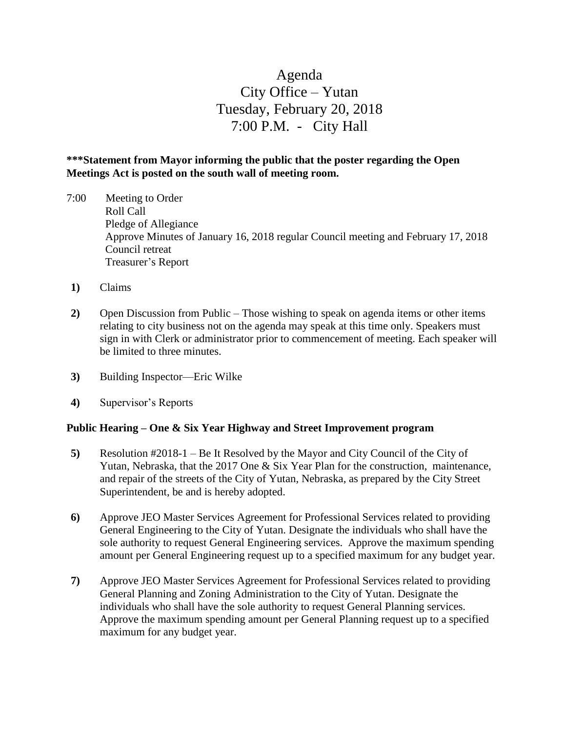# Agenda City Office – Yutan Tuesday, February 20, 2018 7:00 P.M. - City Hall

## **\*\*\*Statement from Mayor informing the public that the poster regarding the Open Meetings Act is posted on the south wall of meeting room.**

- 7:00 Meeting to Order Roll Call Pledge of Allegiance Approve Minutes of January 16, 2018 regular Council meeting and February 17, 2018 Council retreat Treasurer's Report
- **1)** Claims
- **2)** Open Discussion from Public Those wishing to speak on agenda items or other items relating to city business not on the agenda may speak at this time only. Speakers must sign in with Clerk or administrator prior to commencement of meeting. Each speaker will be limited to three minutes.
- **3)** Building Inspector—Eric Wilke
- **4)** Supervisor's Reports

#### **Public Hearing – One & Six Year Highway and Street Improvement program**

- **5)** Resolution #2018-1 Be It Resolved by the Mayor and City Council of the City of Yutan, Nebraska, that the 2017 One & Six Year Plan for the construction, maintenance, and repair of the streets of the City of Yutan, Nebraska, as prepared by the City Street Superintendent, be and is hereby adopted.
- **6)** Approve JEO Master Services Agreement for Professional Services related to providing General Engineering to the City of Yutan. Designate the individuals who shall have the sole authority to request General Engineering services. Approve the maximum spending amount per General Engineering request up to a specified maximum for any budget year.
- **7)** Approve JEO Master Services Agreement for Professional Services related to providing General Planning and Zoning Administration to the City of Yutan. Designate the individuals who shall have the sole authority to request General Planning services. Approve the maximum spending amount per General Planning request up to a specified maximum for any budget year.